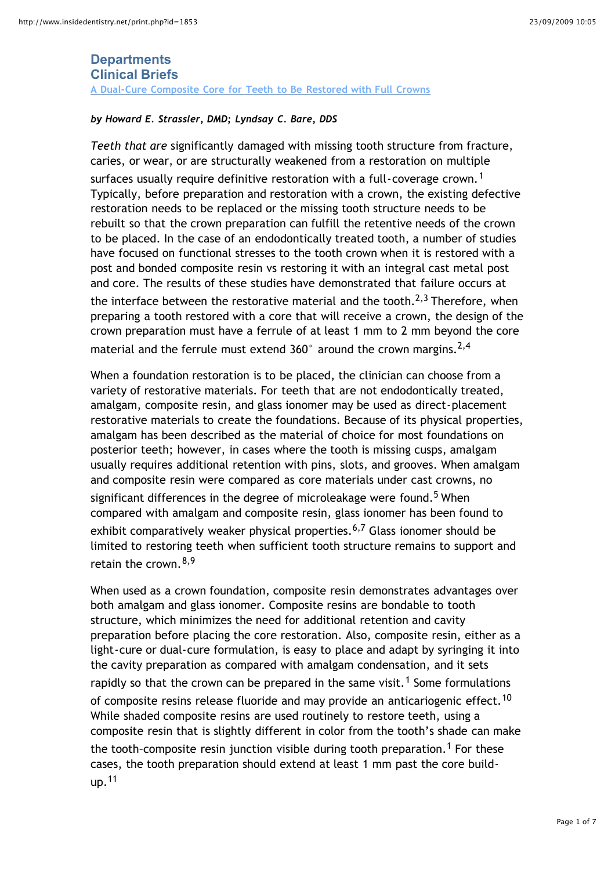# **Departments Clinical Briefs**

**A Dual-Cure Composite Core for Teeth to Be Restored with Full Crowns**

#### *by Howard E. Strassler, DMD; Lyndsay C. Bare, DDS*

*Teeth that are* significantly damaged with missing tooth structure from fracture, caries, or wear, or are structurally weakened from a restoration on multiple surfaces usually require definitive restoration with a full-coverage crown.<sup>1</sup> Typically, before preparation and restoration with a crown, the existing defective restoration needs to be replaced or the missing tooth structure needs to be rebuilt so that the crown preparation can fulfill the retentive needs of the crown to be placed. In the case of an endodontically treated tooth, a number of studies have focused on functional stresses to the tooth crown when it is restored with a post and bonded composite resin vs restoring it with an integral cast metal post and core. The results of these studies have demonstrated that failure occurs at the interface between the restorative material and the tooth.<sup>2,3</sup> Therefore, when preparing a tooth restored with a core that will receive a crown, the design of the crown preparation must have a ferrule of at least 1 mm to 2 mm beyond the core material and the ferrule must extend 360 $^{\circ}$  around the crown margins.<sup>2,4</sup>

When a foundation restoration is to be placed, the clinician can choose from a variety of restorative materials. For teeth that are not endodontically treated, amalgam, composite resin, and glass ionomer may be used as direct-placement restorative materials to create the foundations. Because of its physical properties, amalgam has been described as the material of choice for most foundations on posterior teeth; however, in cases where the tooth is missing cusps, amalgam usually requires additional retention with pins, slots, and grooves. When amalgam and composite resin were compared as core materials under cast crowns, no significant differences in the degree of microleakage were found.<sup>5</sup> When compared with amalgam and composite resin, glass ionomer has been found to exhibit comparatively weaker physical properties.<sup>6,7</sup> Glass ionomer should be limited to restoring teeth when sufficient tooth structure remains to support and retain the crown  $8,9$ 

When used as a crown foundation, composite resin demonstrates advantages over both amalgam and glass ionomer. Composite resins are bondable to tooth structure, which minimizes the need for additional retention and cavity preparation before placing the core restoration. Also, composite resin, either as a light-cure or dual-cure formulation, is easy to place and adapt by syringing it into the cavity preparation as compared with amalgam condensation, and it sets rapidly so that the crown can be prepared in the same visit.<sup>1</sup> Some formulations of composite resins release fluoride and may provide an anticariogenic effect.<sup>10</sup> While shaded composite resins are used routinely to restore teeth, using a composite resin that is slightly different in color from the tooth's shade can make the tooth-composite resin junction visible during tooth preparation.<sup>1</sup> For these cases, the tooth preparation should extend at least 1 mm past the core buildup.  $11$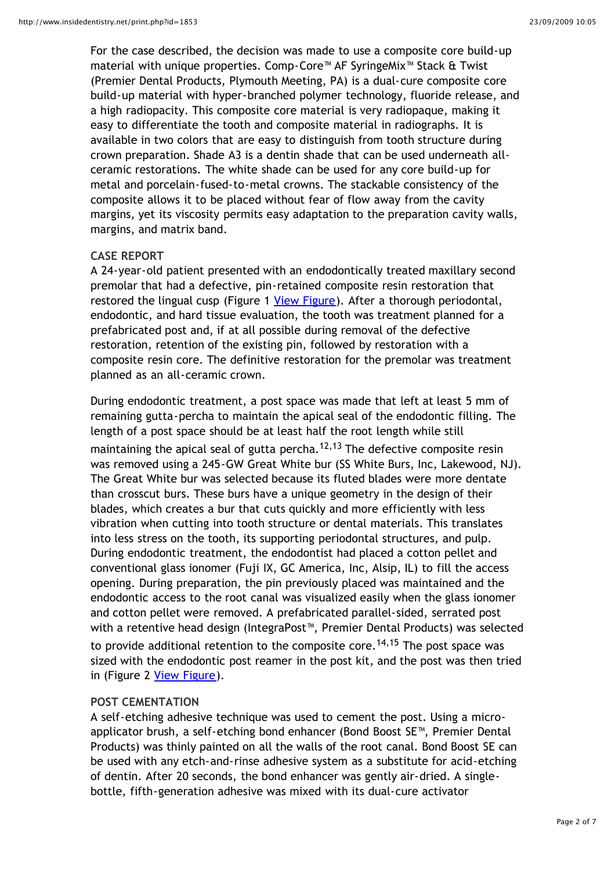For the case described, the decision was made to use a composite core build-up material with unique properties. Comp-Core™ AF SyringeMix™ Stack & Twist (Premier Dental Products, Plymouth Meeting, PA) is a dual-cure composite core build-up material with hyper-branched polymer technology, fluoride release, and a high radiopacity. This composite core material is very radiopaque, making it easy to differentiate the tooth and composite material in radiographs. It is available in two colors that are easy to distinguish from tooth structure during crown preparation. Shade A3 is a dentin shade that can be used underneath allceramic restorations. The white shade can be used for any core build-up for metal and porcelain-fused-to-metal crowns. The stackable consistency of the composite allows it to be placed without fear of flow away from the cavity margins, yet its viscosity permits easy adaptation to the preparation cavity walls, margins, and matrix band.

## **CASE REPORT**

A 24-year-old patient presented with an endodontically treated maxillary second premolar that had a defective, pin-retained composite resin restoration that restored the lingual cusp (Figure 1 [View Figure](http://www.insidedentistry.net/content/ID/img/2008/09/ID200809_13x.jpg)). After a thorough periodontal, endodontic, and hard tissue evaluation, the tooth was treatment planned for a prefabricated post and, if at all possible during removal of the defective restoration, retention of the existing pin, followed by restoration with a composite resin core. The definitive restoration for the premolar was treatment planned as an all-ceramic crown.

During endodontic treatment, a post space was made that left at least 5 mm of remaining gutta-percha to maintain the apical seal of the endodontic filling. The length of a post space should be at least half the root length while still maintaining the apical seal of gutta percha.<sup>12,13</sup> The defective composite resin was removed using a 245-GW Great White bur (SS White Burs, Inc, Lakewood, NJ). The Great White bur was selected because its fluted blades were more dentate than crosscut burs. These burs have a unique geometry in the design of their blades, which creates a bur that cuts quickly and more efficiently with less vibration when cutting into tooth structure or dental materials. This translates into less stress on the tooth, its supporting periodontal structures, and pulp. During endodontic treatment, the endodontist had placed a cotton pellet and conventional glass ionomer (Fuji IX, GC America, Inc, Alsip, IL) to fill the access opening. During preparation, the pin previously placed was maintained and the endodontic access to the root canal was visualized easily when the glass ionomer and cotton pellet were removed. A prefabricated parallel-sided, serrated post with a retentive head design (IntegraPost™, Premier Dental Products) was selected to provide additional retention to the composite core.<sup>14,15</sup> The post space was sized with the endodontic post reamer in the post kit, and the post was then tried in (Figure 2 [View Figure](http://www.insidedentistry.net/content/ID/img/2008/09/ID200809_14x.jpg)).

## **POST CEMENTATION**

A self-etching adhesive technique was used to cement the post. Using a microapplicator brush, a self-etching bond enhancer (Bond Boost SE™, Premier Dental Products) was thinly painted on all the walls of the root canal. Bond Boost SE can be used with any etch-and-rinse adhesive system as a substitute for acid-etching of dentin. After 20 seconds, the bond enhancer was gently air-dried. A singlebottle, fifth-generation adhesive was mixed with its dual-cure activator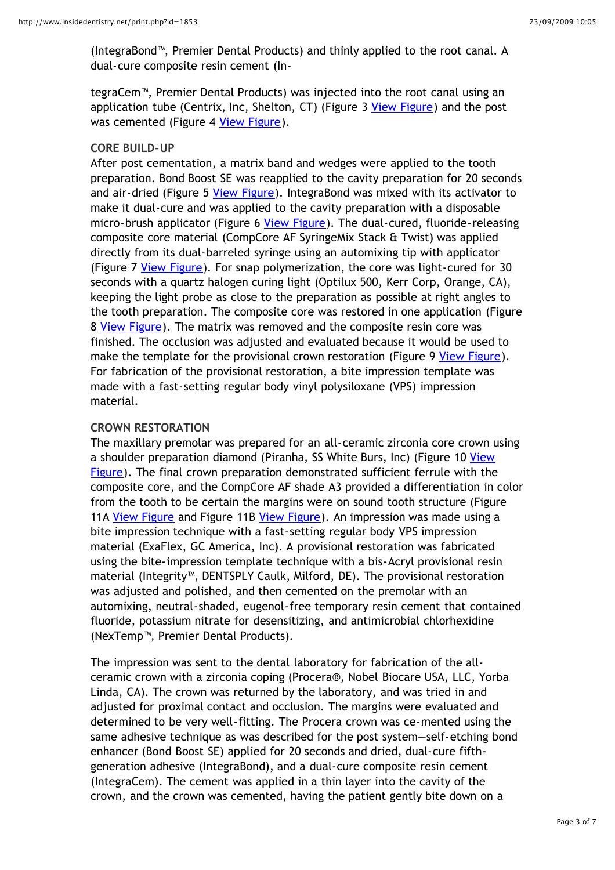(IntegraBond™, Premier Dental Products) and thinly applied to the root canal. A dual-cure composite resin cement (In-

tegraCem™, Premier Dental Products) was injected into the root canal using an application tube (Centrix, Inc, Shelton, CT) (Figure 3 [View Figure](http://www.insidedentistry.net/content/ID/img/2008/09/ID200809_15x.jpg)) and the post was cemented (Figure 4 [View Figure](http://www.insidedentistry.net/content/ID/img/2008/09/ID200809_16x.jpg)).

## **CORE BUILD-UP**

After post cementation, a matrix band and wedges were applied to the tooth preparation. Bond Boost SE was reapplied to the cavity preparation for 20 seconds and air-dried (Figure 5 [View Figure\)](http://www.insidedentistry.net/content/ID/img/2008/09/ID200809_17x.jpg). IntegraBond was mixed with its activator to make it dual-cure and was applied to the cavity preparation with a disposable micro-brush applicator (Figure 6 [View Figure](http://www.insidedentistry.net/content/ID/img/2008/09/ID200809_18x.jpg)). The dual-cured, fluoride-releasing composite core material (CompCore AF SyringeMix Stack & Twist) was applied directly from its dual-barreled syringe using an automixing tip with applicator (Figure 7 <u>View Figure</u>). For snap polymerization, the core was light-cured for 30 seconds with a quartz halogen curing light (Optilux 500, Kerr Corp, Orange, CA), keeping the light probe as close to the preparation as possible at right angles to the tooth preparation. The composite core was restored in one application (Figure 8 <u>View Figure</u>). The matrix was removed and the composite resin core was finished. The occlusion was adjusted and evaluated because it would be used to make the template for the provisional crown restoration (Figure 9 [View Figure](http://www.insidedentistry.net/content/ID/img/2008/09/ID200809_21x.jpg)). For fabrication of the provisional restoration, a bite impression template was made with a fast-setting regular body vinyl polysiloxane (VPS) impression material.

## **CROWN RESTORATION**

The maxillary premolar was prepared for an all-ceramic zirconia core crown using a shoulder preparation diamond (Piranha, SS White Burs, Inc) (Figure 10 Yiew Figure). The final crown preparation demonstrated sufficient ferrule with the composite core, and the CompCore AF shade A3 provided a differentiation in color from the tooth to be certain the margins were on sound tooth structure (Figure 11A [View Figure](http://www.insidedentistry.net/content/ID/img/2008/09/ID200809_23x.jpg) and Figure 11B [View Figure\)](http://www.insidedentistry.net/content/ID/img/2008/09/ID200809_24x.jpg). An impression was made using a bite impression technique with a fast-setting regular body VPS impression material (ExaFlex, GC America, Inc). A provisional restoration was fabricated using the bite-impression template technique with a bis-Acryl provisional resin material (Integrity™, DENTSPLY Caulk, Milford, DE). The provisional restoration was adjusted and polished, and then cemented on the premolar with an automixing, neutral-shaded, eugenol-free temporary resin cement that contained fluoride, potassium nitrate for desensitizing, and antimicrobial chlorhexidine (NexTemp™, Premier Dental Products).

The impression was sent to the dental laboratory for fabrication of the allceramic crown with a zirconia coping (Procera®, Nobel Biocare USA, LLC, Yorba Linda, CA). The crown was returned by the laboratory, and was tried in and adjusted for proximal contact and occlusion. The margins were evaluated and determined to be very well-fitting. The Procera crown was ce-mented using the same adhesive technique as was described for the post system—self-etching bond enhancer (Bond Boost SE) applied for 20 seconds and dried, dual-cure fifthgeneration adhesive (IntegraBond), and a dual-cure composite resin cement (IntegraCem). The cement was applied in a thin layer into the cavity of the crown, and the crown was cemented, having the patient gently bite down on a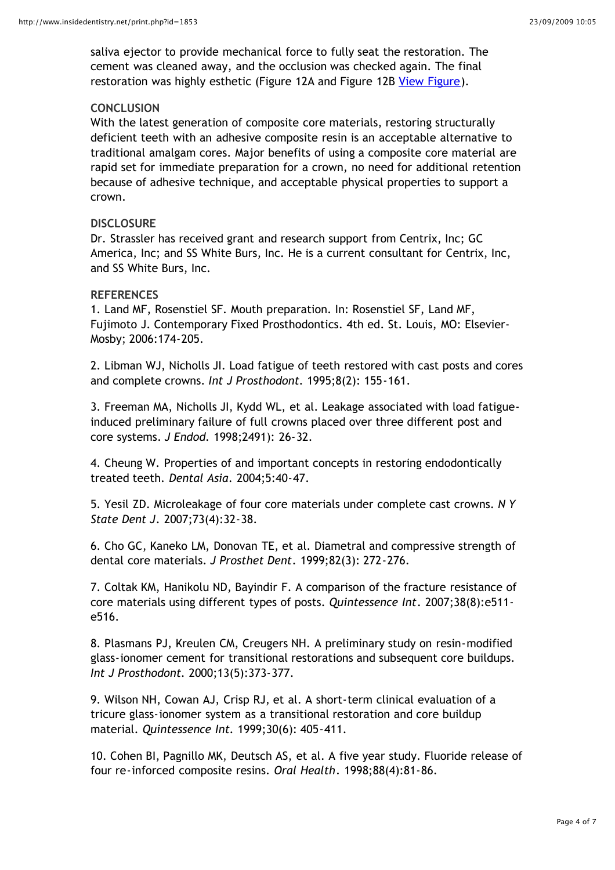saliva ejector to provide mechanical force to fully seat the restoration. The cement was cleaned away, and the occlusion was checked again. The final restoration was highly esthetic (Figure 12A and Figure 12B [View Figure\)](http://www.insidedentistry.net/content/ID/img/2008/09/ID200809_25x.jpg).

## **CONCLUSION**

With the latest generation of composite core materials, restoring structurally deficient teeth with an adhesive composite resin is an acceptable alternative to traditional amalgam cores. Major benefits of using a composite core material are rapid set for immediate preparation for a crown, no need for additional retention because of adhesive technique, and acceptable physical properties to support a crown.

### **DISCLOSURE**

Dr. Strassler has received grant and research support from Centrix, Inc; GC America, Inc; and SS White Burs, Inc. He is a current consultant for Centrix, Inc, and SS White Burs, Inc.

### **REFERENCES**

1. Land MF, Rosenstiel SF. Mouth preparation. In: Rosenstiel SF, Land MF, Fujimoto J. Contemporary Fixed Prosthodontics. 4th ed. St. Louis, MO: Elsevier-Mosby; 2006:174-205.

2. Libman WJ, Nicholls JI. Load fatigue of teeth restored with cast posts and cores and complete crowns. *Int J Prosthodont.* 1995;8(2): 155-161.

3. Freeman MA, Nicholls JI, Kydd WL, et al. Leakage associated with load fatigueinduced preliminary failure of full crowns placed over three different post and core systems. *J Endod.* 1998;2491): 26-32.

4. Cheung W. Properties of and important concepts in restoring endodontically treated teeth. *Dental Asia*. 2004;5:40-47.

5. Yesil ZD. Microleakage of four core materials under complete cast crowns. *N Y State Dent J*. 2007;73(4):32-38.

6. Cho GC, Kaneko LM, Donovan TE, et al. Diametral and compressive strength of dental core materials. *J Prosthet Dent*. 1999;82(3): 272-276.

7. Coltak KM, Hanikolu ND, Bayindir F. A comparison of the fracture resistance of core materials using different types of posts. *Quintessence Int*. 2007;38(8):e511 e516.

8. Plasmans PJ, Kreulen CM, Creugers NH. A preliminary study on resin-modified glass-ionomer cement for transitional restorations and subsequent core buildups. *Int J Prosthodont.* 2000;13(5):373-377.

9. Wilson NH, Cowan AJ, Crisp RJ, et al. A short-term clinical evaluation of a tricure glass-ionomer system as a transitional restoration and core buildup material. *Quintessence Int.* 1999;30(6): 405-411.

10. Cohen BI, Pagnillo MK, Deutsch AS, et al. A five year study. Fluoride release of four re-inforced composite resins. *Oral Health*. 1998;88(4):81-86.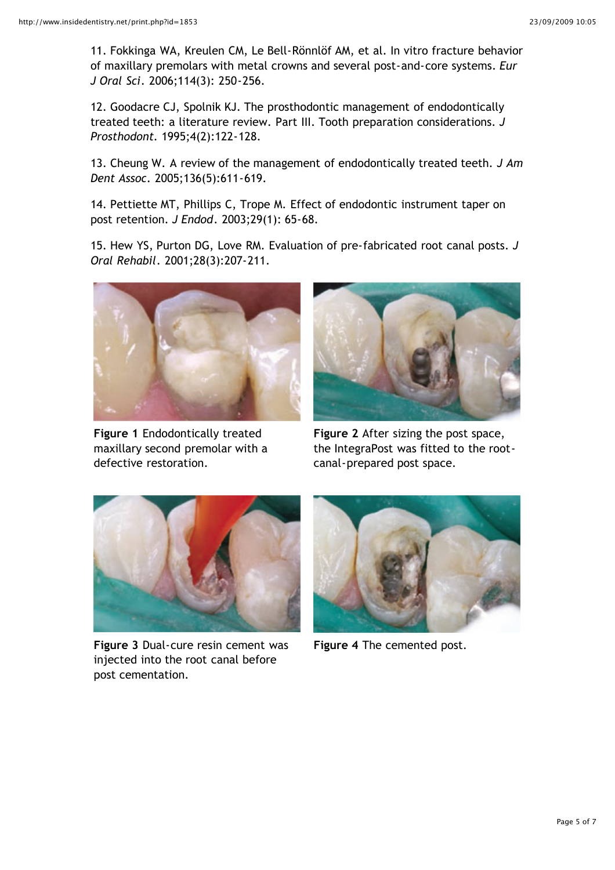11. Fokkinga WA, Kreulen CM, Le Bell-Rönnlöf AM, et al. In vitro fracture behavior of maxillary premolars with metal crowns and several post-and-core systems. *Eur J Oral Sci*. 2006;114(3): 250-256.

12. Goodacre CJ, Spolnik KJ. The prosthodontic management of endodontically treated teeth: a literature review. Part III. Tooth preparation considerations. *J Prosthodont.* 1995;4(2):122-128.

13. Cheung W. A review of the management of endodontically treated teeth. *J Am Dent Assoc*. 2005;136(5):611-619.

14. Pettiette MT, Phillips C, Trope M. Effect of endodontic instrument taper on post retention. *J Endod*. 2003;29(1): 65-68.

15. Hew YS, Purton DG, Love RM. Evaluation of pre-fabricated root canal posts. *J Oral Rehabil*. 2001;28(3):207-211.



**Figure 1** Endodontically treated maxillary second premolar with a defective restoration.



**Figure 2** After sizing the post space, the IntegraPost was fitted to the rootcanal-prepared post space.



**Figure 3** Dual-cure resin cement was injected into the root canal before post cementation.



**Figure 4** The cemented post.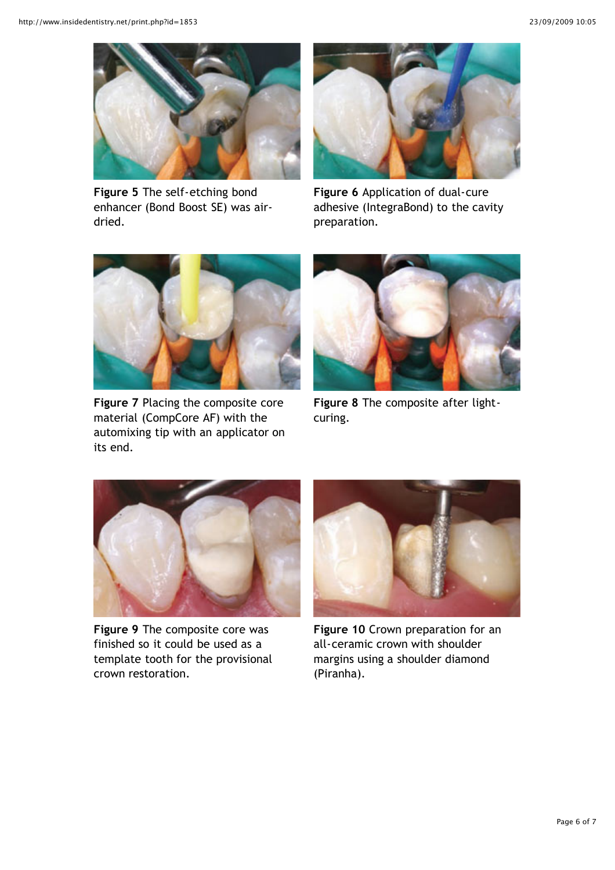

**Figure 5** The self-etching bond enhancer (Bond Boost SE) was airdried.



**Figure 6** Application of dual-cure adhesive (IntegraBond) to the cavity preparation.



**Figure 7** Placing the composite core material (CompCore AF) with the automixing tip with an applicator on its end.



**Figure 8** The composite after lightcuring.



**Figure 9** The composite core was finished so it could be used as a template tooth for the provisional crown restoration.



**Figure 10** Crown preparation for an all-ceramic crown with shoulder margins using a shoulder diamond (Piranha).